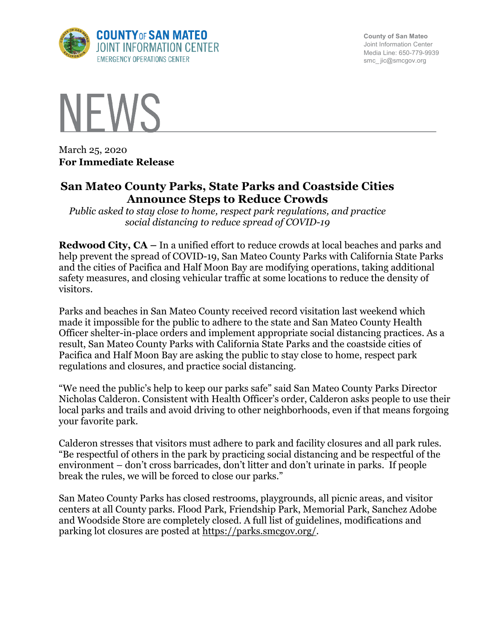

**County of San Mateo** Joint Information Center Media Line: 650-779-9939 smc\_ jic@smcgov.org



March 25, 2020 **For Immediate Release**

## **San Mateo County Parks, State Parks and Coastside Cities Announce Steps to Reduce Crowds**

*Public asked to stay close to home, respect park regulations, and practice social distancing to reduce spread of COVID-19*

**Redwood City, CA –** In a unified effort to reduce crowds at local beaches and parks and help prevent the spread of COVID-19, San Mateo County Parks with California State Parks and the cities of Pacifica and Half Moon Bay are modifying operations, taking additional safety measures, and closing vehicular traffic at some locations to reduce the density of visitors.

Parks and beaches in San Mateo County received record visitation last weekend which made it impossible for the public to adhere to the state and San Mateo County Health Officer shelter-in-place orders and implement appropriate social distancing practices. As a result, San Mateo County Parks with California State Parks and the coastside cities of Pacifica and Half Moon Bay are asking the public to stay close to home, respect park regulations and closures, and practice social distancing.

"We need the public's help to keep our parks safe" said San Mateo County Parks Director Nicholas Calderon. Consistent with Health Officer's order, Calderon asks people to use their local parks and trails and avoid driving to other neighborhoods, even if that means forgoing your favorite park.

Calderon stresses that visitors must adhere to park and facility closures and all park rules. "Be respectful of others in the park by practicing social distancing and be respectful of the environment – don't cross barricades, don't litter and don't urinate in parks. If people break the rules, we will be forced to close our parks."

San Mateo County Parks has closed restrooms, playgrounds, all picnic areas, and visitor centers at all County parks. Flood Park, Friendship Park, Memorial Park, Sanchez Adobe and Woodside Store are completely closed. A full list of guidelines, modifications and parking lot closures are posted at https://parks.smcgov.org/.